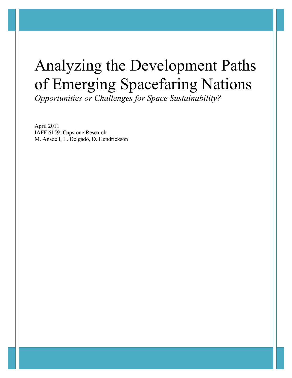# Analyzing the Development Paths of Emerging Spacefaring Nations

*Opportunities or Challenges for Space Sustainability?*

April 2011 IAFF 6159: Capstone Research M. Ansdell, L. Delgado, D. Hendrickson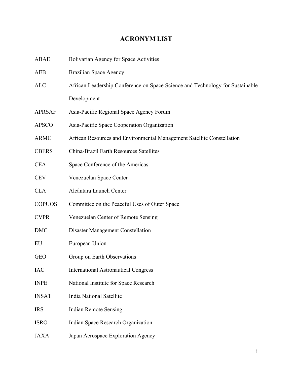# **ACRONYM LIST**

| <b>ABAE</b>   | Bolivarian Agency for Space Activities                                        |
|---------------|-------------------------------------------------------------------------------|
| <b>AEB</b>    | <b>Brazilian Space Agency</b>                                                 |
| <b>ALC</b>    | African Leadership Conference on Space Science and Technology for Sustainable |
|               | Development                                                                   |
| <b>APRSAF</b> | Asia-Pacific Regional Space Agency Forum                                      |
| <b>APSCO</b>  | Asia-Pacific Space Cooperation Organization                                   |
| <b>ARMC</b>   | African Resources and Environmental Management Satellite Constellation        |
| <b>CBERS</b>  | China-Brazil Earth Resources Satellites                                       |
| <b>CEA</b>    | Space Conference of the Americas                                              |
| <b>CEV</b>    | Venezuelan Space Center                                                       |
| <b>CLA</b>    | Alcântara Launch Center                                                       |
| <b>COPUOS</b> | Committee on the Peaceful Uses of Outer Space                                 |
| <b>CVPR</b>   | Venezuelan Center of Remote Sensing                                           |
| <b>DMC</b>    | Disaster Management Constellation                                             |
| EU            | European Union                                                                |
| <b>GEO</b>    | Group on Earth Observations                                                   |
| IAC           | <b>International Astronautical Congress</b>                                   |
| <b>INPE</b>   | National Institute for Space Research                                         |
| <b>INSAT</b>  | <b>India National Satellite</b>                                               |
| <b>IRS</b>    | <b>Indian Remote Sensing</b>                                                  |
| <b>ISRO</b>   | Indian Space Research Organization                                            |
| <b>JAXA</b>   | Japan Aerospace Exploration Agency                                            |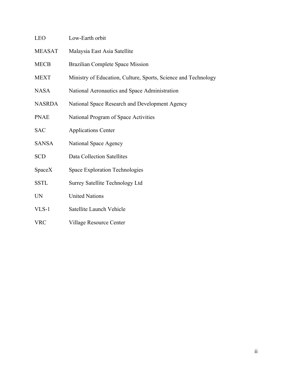- MEASAT Malaysia East Asia Satellite
- MECB Brazilian Complete Space Mission
- MEXT Ministry of Education, Culture, Sports, Science and Technology
- NASA National Aeronautics and Space Administration
- NASRDA National Space Research and Development Agency
- PNAE National Program of Space Activities
- SAC Applications Center
- SANSA National Space Agency
- SCD Data Collection Satellites
- SpaceX Space Exploration Technologies
- SSTL Surrey Satellite Technology Ltd
- UN United Nations
- VLS-1 Satellite Launch Vehicle
- VRC Village Resource Center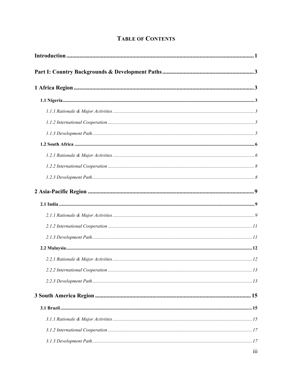# **TABLE OF CONTENTS**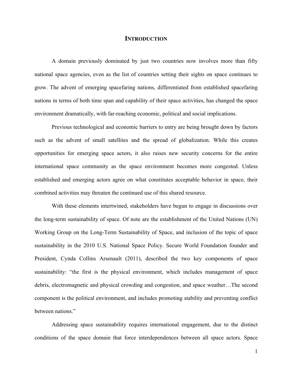# **INTRODUCTION**

A domain previously dominated by just two countries now involves more than fifty national space agencies, even as the list of countries setting their sights on space continues to grow. The advent of emerging spacefaring nations, differentiated from established spacefaring nations in terms of both time span and capability of their space activities, has changed the space environment dramatically, with far-reaching economic, political and social implications.

Previous technological and economic barriers to entry are being brought down by factors such as the advent of small satellites and the spread of globalization. While this creates opportunities for emerging space actors, it also raises new security concerns for the entire international space community as the space environment becomes more congested. Unless established and emerging actors agree on what constitutes acceptable behavior in space, their combined activities may threaten the continued use of this shared resource.

With these elements intertwined, stakeholders have begun to engage in discussions over the long-term sustainability of space. Of note are the establishment of the United Nations (UN) Working Group on the Long-Term Sustainability of Space, and inclusion of the topic of space sustainability in the 2010 U.S. National Space Policy. Secure World Foundation founder and President, Cynda Collins Arsenault (2011), described the two key components of space sustainability: "the first is the physical environment, which includes management of space debris, electromagnetic and physical crowding and congestion, and space weather…The second component is the political environment, and includes promoting stability and preventing conflict between nations."

Addressing space sustainability requires international engagement, due to the distinct conditions of the space domain that force interdependences between all space actors. Space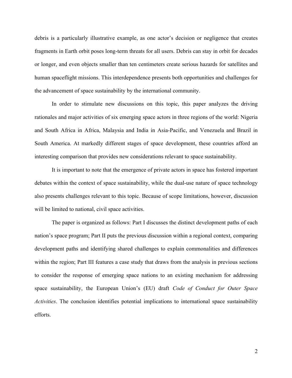debris is a particularly illustrative example, as one actor's decision or negligence that creates fragments in Earth orbit poses long-term threats for all users. Debris can stay in orbit for decades or longer, and even objects smaller than ten centimeters create serious hazards for satellites and human spaceflight missions. This interdependence presents both opportunities and challenges for the advancement of space sustainability by the international community.

In order to stimulate new discussions on this topic, this paper analyzes the driving rationales and major activities of six emerging space actors in three regions of the world: Nigeria and South Africa in Africa, Malaysia and India in Asia-Pacific, and Venezuela and Brazil in South America. At markedly different stages of space development, these countries afford an interesting comparison that provides new considerations relevant to space sustainability.

It is important to note that the emergence of private actors in space has fostered important debates within the context of space sustainability, while the dual-use nature of space technology also presents challenges relevant to this topic. Because of scope limitations, however, discussion will be limited to national, civil space activities.

The paper is organized as follows: Part I discusses the distinct development paths of each nation's space program; Part II puts the previous discussion within a regional context, comparing development paths and identifying shared challenges to explain commonalities and differences within the region; Part III features a case study that draws from the analysis in previous sections to consider the response of emerging space nations to an existing mechanism for addressing space sustainability, the European Union's (EU) draft *Code of Conduct for Outer Space Activities*. The conclusion identifies potential implications to international space sustainability efforts.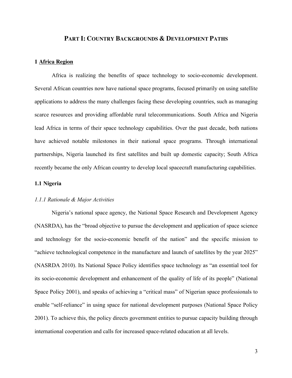# **PART I: COUNTRY BACKGROUNDS & DEVELOPMENT PATHS**

#### **1 Africa Region**

Africa is realizing the benefits of space technology to socio-economic development. Several African countries now have national space programs, focused primarily on using satellite applications to address the many challenges facing these developing countries, such as managing scarce resources and providing affordable rural telecommunications. South Africa and Nigeria lead Africa in terms of their space technology capabilities. Over the past decade, both nations have achieved notable milestones in their national space programs. Through international partnerships, Nigeria launched its first satellites and built up domestic capacity; South Africa recently became the only African country to develop local spacecraft manufacturing capabilities.

# **1.1 Nigeria**

# *1.1.1 Rationale & Major Activities*

Nigeria's national space agency, the National Space Research and Development Agency (NASRDA), has the "broad objective to pursue the development and application of space science and technology for the socio-economic benefit of the nation" and the specific mission to "achieve technological competence in the manufacture and launch of satellites by the year 2025" (NASRDA 2010). Its National Space Policy identifies space technology as "an essential tool for its socio-economic development and enhancement of the quality of life of its people" (National Space Policy 2001), and speaks of achieving a "critical mass" of Nigerian space professionals to enable "self-reliance" in using space for national development purposes (National Space Policy 2001). To achieve this, the policy directs government entities to pursue capacity building through international cooperation and calls for increased space-related education at all levels.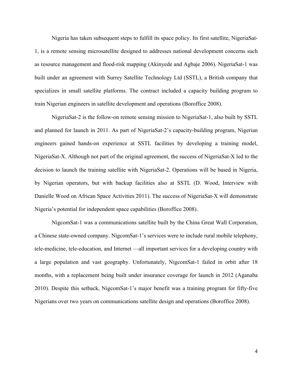Nigeria has taken subsequent steps to fulfill its space policy. Its first satellite, NigeriaSat-1, is a remote sensing microsatellite designed to addresses national development concerns such as resource management and flood-risk mapping (Akinyede and Agbaje 2006). NigeriaSat-1 was built under an agreement with Surrey Satellite Technology Ltd (SSTL), a British company that specializes in small satellite platforms. The contract included a capacity building program to train Nigerian engineers in satellite development and operations (Boroffice 2008).

NigeriaSat-2 is the follow-on remote sensing mission to NigeriaSat-1, also built by SSTL and planned for launch in 2011. As part of NigeriaSat-2's capacity-building program, Nigerian engineers gained hands-on experience at SSTL facilities by developing a training model, NigeriaSat-X. Although not part of the original agreement, the success of NigeriaSat-X led to the decision to launch the training satellite with NigeriaSat-2. Operations will be based in Nigeria, by Nigerian operators, but with backup facilities also at SSTL (D. Wood, Interview with Danielle Wood on African Space Activities 2011). The success of NigeriaSat-X will demonstrate Nigeria's potential for independent space capabilities (Boroffice 2008).

NigcomSat-1 was a communications satellite built by the China Great Wall Corporation, a Chinese state-owned company. NigcomSat-1's services were to include rural mobile telephony, tele-medicine, tele-education, and Internet —all important services for a developing country with a large population and vast geography. Unfortunately, NigcomSat-1 failed in orbit after 18 months, with a replacement being built under insurance coverage for launch in 2012 (Aganaba 2010). Despite this setback, NigcomSat-1's major benefit was a training program for fifty-five Nigerians over two years on communications satellite design and operations (Boroffice 2008).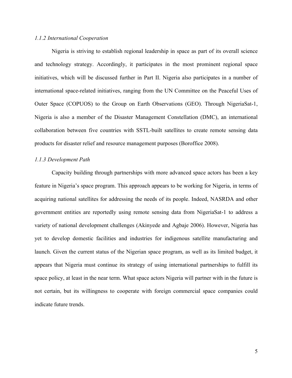# *1.1.2 International Cooperation*

Nigeria is striving to establish regional leadership in space as part of its overall science and technology strategy. Accordingly, it participates in the most prominent regional space initiatives, which will be discussed further in Part II. Nigeria also participates in a number of international space-related initiatives, ranging from the UN Committee on the Peaceful Uses of Outer Space (COPUOS) to the Group on Earth Observations (GEO). Through NigeriaSat-1, Nigeria is also a member of the Disaster Management Constellation (DMC), an international collaboration between five countries with SSTL-built satellites to create remote sensing data products for disaster relief and resource management purposes (Boroffice 2008).

#### *1.1.3 Development Path*

Capacity building through partnerships with more advanced space actors has been a key feature in Nigeria's space program. This approach appears to be working for Nigeria, in terms of acquiring national satellites for addressing the needs of its people. Indeed, NASRDA and other government entities are reportedly using remote sensing data from NigeriaSat-1 to address a variety of national development challenges (Akinyede and Agbaje 2006). However, Nigeria has yet to develop domestic facilities and industries for indigenous satellite manufacturing and launch. Given the current status of the Nigerian space program, as well as its limited budget, it appears that Nigeria must continue its strategy of using international partnerships to fulfill its space policy, at least in the near term. What space actors Nigeria will partner with in the future is not certain, but its willingness to cooperate with foreign commercial space companies could indicate future trends.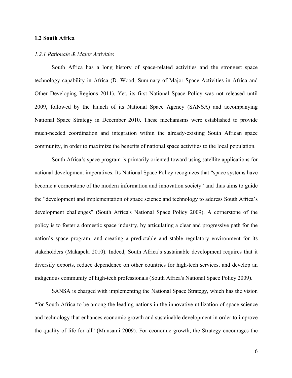# **1.2 South Africa**

#### *1.2.1 Rationale & Major Activities*

South Africa has a long history of space-related activities and the strongest space technology capability in Africa (D. Wood, Summary of Major Space Activities in Africa and Other Developing Regions 2011). Yet, its first National Space Policy was not released until 2009, followed by the launch of its National Space Agency (SANSA) and accompanying National Space Strategy in December 2010. These mechanisms were established to provide much-needed coordination and integration within the already-existing South African space community, in order to maximize the benefits of national space activities to the local population.

South Africa's space program is primarily oriented toward using satellite applications for national development imperatives. Its National Space Policy recognizes that "space systems have become a cornerstone of the modern information and innovation society" and thus aims to guide the "development and implementation of space science and technology to address South Africa's development challenges" (South Africa's National Space Policy 2009). A cornerstone of the policy is to foster a domestic space industry, by articulating a clear and progressive path for the nation's space program, and creating a predictable and stable regulatory environment for its stakeholders (Makapela 2010). Indeed, South Africa's sustainable development requires that it diversify exports, reduce dependence on other countries for high-tech services, and develop an indigenous community of high-tech professionals (South Africa's National Space Policy 2009).

SANSA is charged with implementing the National Space Strategy, which has the vision "for South Africa to be among the leading nations in the innovative utilization of space science and technology that enhances economic growth and sustainable development in order to improve the quality of life for all" (Munsami 2009). For economic growth, the Strategy encourages the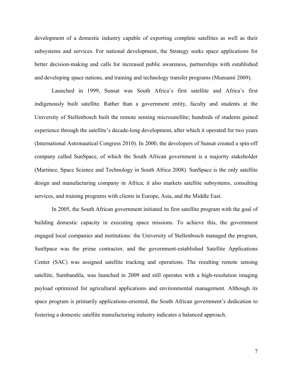development of a domestic industry capable of exporting complete satellites as well as their subsystems and services. For national development, the Strategy seeks space applications for better decision-making and calls for increased public awareness, partnerships with established and developing space nations, and training and technology transfer programs (Munsami 2009).

Launched in 1999, Sunsat was South Africa's first satellite and Africa's first indigenously built satellite. Rather than a government entity, faculty and students at the University of Stellenbosch built the remote sensing microsatellite; hundreds of students gained experience through the satellite's decade-long development, after which it operated for two years (International Astronautical Congress 2010). In 2000, the developers of Sunsat created a spin-off company called SunSpace, of which the South African government is a majority stakeholder (Martinez, Space Science and Technology in South Africa 2008). SunSpace is the only satellite design and manufacturing company in Africa; it also markets satellite subsystems, consulting services, and training programs with clients in Europe, Asia, and the Middle East.

In 2005, the South African government initiated its first satellite program with the goal of building domestic capacity in executing space missions. To achieve this, the government engaged local companies and institutions: the University of Stellenbosch managed the program, SunSpace was the prime contractor, and the government-established Satellite Applications Center (SAC) was assigned satellite tracking and operations. The resulting remote sensing satellite, Sumbandila, was launched in 2009 and still operates with a high-resolution imaging payload optimized for agricultural applications and environmental management. Although its space program is primarily applications-oriented, the South African government's dedication to fostering a domestic satellite manufacturing industry indicates a balanced approach.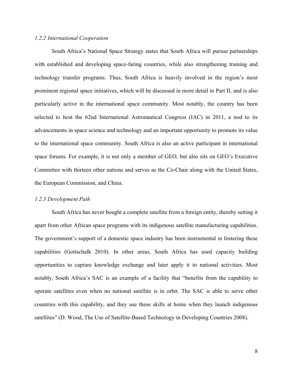# *1.2.2 International Cooperation*

South Africa's National Space Strategy states that South Africa will pursue partnerships with established and developing space-faring countries, while also strengthening training and technology transfer programs. Thus, South Africa is heavily involved in the region's most prominent regional space initiatives, which will be discussed in more detail in Part II, and is also particularly active in the international space community. Most notably, the country has been selected to host the 62nd International Astronautical Congress (IAC) in 2011, a nod to its advancements in space science and technology and an important opportunity to promote its value to the international space community. South Africa is also an active participant in international space forums. For example, it is not only a member of GEO, but also sits on GEO's Executive Committee with thirteen other nations and serves as the Co-Chair along with the United States, the European Commission, and China.

#### *1.2.3 Development Path*

South Africa has never bought a complete satellite from a foreign entity, thereby setting it apart from other African space programs with its indigenous satellite manufacturing capabilities. The government's support of a domestic space industry has been instrumental in fostering these capabilities (Gottschalk 2010). In other areas, South Africa has used capacity building opportunities to capture knowledge exchange and later apply it to national activities. Most notably, South Africa's SAC is an example of a facility that "benefits from the capability to operate satellites even when no national satellite is in orbit. The SAC is able to serve other countries with this capability, and they use these skills at home when they launch indigenous satellites" (D. Wood, The Use of Satellite-Based Technology in Developing Countries 2008).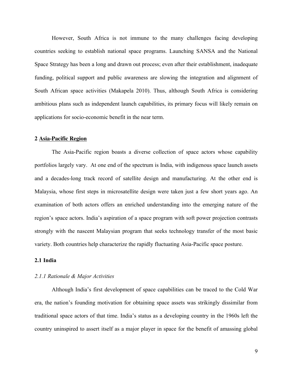However, South Africa is not immune to the many challenges facing developing countries seeking to establish national space programs. Launching SANSA and the National Space Strategy has been a long and drawn out process; even after their establishment, inadequate funding, political support and public awareness are slowing the integration and alignment of South African space activities (Makapela 2010). Thus, although South Africa is considering ambitious plans such as independent launch capabilities, its primary focus will likely remain on applications for socio-economic benefit in the near term.

#### **2 Asia-Pacific Region**

The Asia-Pacific region boasts a diverse collection of space actors whose capability portfolios largely vary. At one end of the spectrum is India, with indigenous space launch assets and a decades-long track record of satellite design and manufacturing. At the other end is Malaysia, whose first steps in microsatellite design were taken just a few short years ago. An examination of both actors offers an enriched understanding into the emerging nature of the region's space actors. India's aspiration of a space program with soft power projection contrasts strongly with the nascent Malaysian program that seeks technology transfer of the most basic variety. Both countries help characterize the rapidly fluctuating Asia-Pacific space posture.

# **2.1 India**

# *2.1.1 Rationale & Major Activities*

Although India's first development of space capabilities can be traced to the Cold War era, the nation's founding motivation for obtaining space assets was strikingly dissimilar from traditional space actors of that time. India's status as a developing country in the 1960s left the country uninspired to assert itself as a major player in space for the benefit of amassing global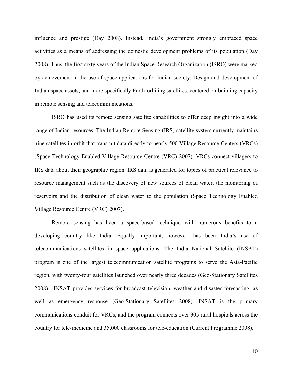influence and prestige (Day 2008). Instead, India's government strongly embraced space activities as a means of addressing the domestic development problems of its population (Day 2008). Thus, the first sixty years of the Indian Space Research Organization (ISRO) were marked by achievement in the use of space applications for Indian society. Design and development of Indian space assets, and more specifically Earth-orbiting satellites, centered on building capacity in remote sensing and telecommunications.

ISRO has used its remote sensing satellite capabilities to offer deep insight into a wide range of Indian resources. The Indian Remote Sensing (IRS) satellite system currently maintains nine satellites in orbit that transmit data directly to nearly 500 Village Resource Centers (VRCs) (Space Technology Enabled Village Resource Centre (VRC) 2007). VRCs connect villagers to IRS data about their geographic region. IRS data is generated for topics of practical relevance to resource management such as the discovery of new sources of clean water, the monitoring of reservoirs and the distribution of clean water to the population (Space Technology Enabled Village Resource Centre (VRC) 2007).

Remote sensing has been a space-based technique with numerous benefits to a developing country like India. Equally important, however, has been India's use of telecommunications satellites in space applications. The India National Satellite (INSAT) program is one of the largest telecommunication satellite programs to serve the Asia-Pacific region, with twenty-four satellites launched over nearly three decades (Geo-Stationary Satellites 2008). INSAT provides services for broadcast television, weather and disaster forecasting, as well as emergency response (Geo-Stationary Satellites 2008). INSAT is the primary communications conduit for VRCs, and the program connects over 305 rural hospitals across the country for tele-medicine and 35,000 classrooms for tele-education (Current Programme 2008).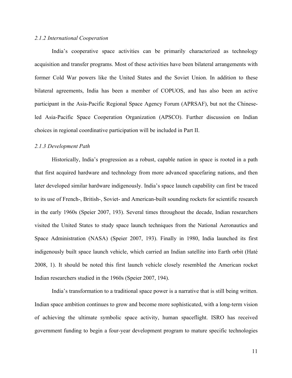# *2.1.2 International Cooperation*

India's cooperative space activities can be primarily characterized as technology acquisition and transfer programs. Most of these activities have been bilateral arrangements with former Cold War powers like the United States and the Soviet Union. In addition to these bilateral agreements, India has been a member of COPUOS, and has also been an active participant in the Asia-Pacific Regional Space Agency Forum (APRSAF), but not the Chineseled Asia-Pacific Space Cooperation Organization (APSCO). Further discussion on Indian choices in regional coordinative participation will be included in Part II.

#### *2.1.3 Development Path*

Historically, India's progression as a robust, capable nation in space is rooted in a path that first acquired hardware and technology from more advanced spacefaring nations, and then later developed similar hardware indigenously. India's space launch capability can first be traced to its use of French-, British-, Soviet- and American-built sounding rockets for scientific research in the early 1960s (Speier 2007, 193). Several times throughout the decade, Indian researchers visited the United States to study space launch techniques from the National Aeronautics and Space Administration (NASA) (Speier 2007, 193). Finally in 1980, India launched its first indigenously built space launch vehicle, which carried an Indian satellite into Earth orbit (Haté 2008, 1). It should be noted this first launch vehicle closely resembled the American rocket Indian researchers studied in the 1960s (Speier 2007, 194).

India's transformation to a traditional space power is a narrative that is still being written. Indian space ambition continues to grow and become more sophisticated, with a long-term vision of achieving the ultimate symbolic space activity, human spaceflight. ISRO has received government funding to begin a four-year development program to mature specific technologies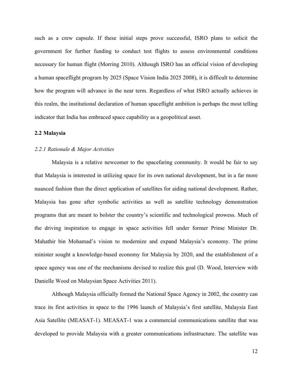such as a crew capsule. If these initial steps prove successful, ISRO plans to solicit the government for further funding to conduct test flights to assess environmental conditions necessary for human flight (Morring 2010). Although ISRO has an official vision of developing a human spaceflight program by 2025 (Space Vision India 2025 2008), it is difficult to determine how the program will advance in the near term. Regardless of what ISRO actually achieves in this realm, the institutional declaration of human spaceflight ambition is perhaps the most telling indicator that India has embraced space capability as a geopolitical asset.

#### **2.2 Malaysia**

#### *2.2.1 Rationale & Major Activities*

Malaysia is a relative newcomer to the spacefaring community. It would be fair to say that Malaysia is interested in utilizing space for its own national development, but in a far more nuanced fashion than the direct application of satellites for aiding national development. Rather, Malaysia has gone after symbolic activities as well as satellite technology demonstration programs that are meant to bolster the country's scientific and technological prowess. Much of the driving inspiration to engage in space activities fell under former Prime Minister Dr. Mahathir bin Mohamad's vision to modernize and expand Malaysia's economy. The prime minister sought a knowledge-based economy for Malaysia by 2020, and the establishment of a space agency was one of the mechanisms devised to realize this goal (D. Wood, Interview with Danielle Wood on Malaysian Space Activities 2011).

Although Malaysia officially formed the National Space Agency in 2002, the country can trace its first activities in space to the 1996 launch of Malaysia's first satellite, Malaysia East Asia Satellite (MEASAT-1). MEASAT-1 was a commercial communications satellite that was developed to provide Malaysia with a greater communications infrastructure. The satellite was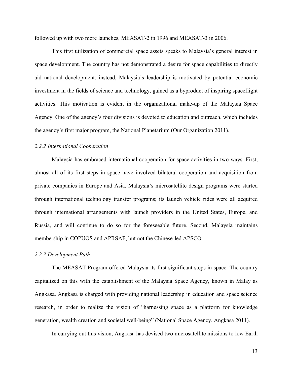followed up with two more launches, MEASAT-2 in 1996 and MEASAT-3 in 2006.

This first utilization of commercial space assets speaks to Malaysia's general interest in space development. The country has not demonstrated a desire for space capabilities to directly aid national development; instead, Malaysia's leadership is motivated by potential economic investment in the fields of science and technology, gained as a byproduct of inspiring spaceflight activities. This motivation is evident in the organizational make-up of the Malaysia Space Agency. One of the agency's four divisions is devoted to education and outreach, which includes the agency's first major program, the National Planetarium (Our Organization 2011).

# *2.2.2 International Cooperation*

Malaysia has embraced international cooperation for space activities in two ways. First, almost all of its first steps in space have involved bilateral cooperation and acquisition from private companies in Europe and Asia. Malaysia's microsatellite design programs were started through international technology transfer programs; its launch vehicle rides were all acquired through international arrangements with launch providers in the United States, Europe, and Russia, and will continue to do so for the foreseeable future. Second, Malaysia maintains membership in COPUOS and APRSAF, but not the Chinese-led APSCO.

#### *2.2.3 Development Path*

The MEASAT Program offered Malaysia its first significant steps in space. The country capitalized on this with the establishment of the Malaysia Space Agency, known in Malay as Angkasa. Angkasa is charged with providing national leadership in education and space science research, in order to realize the vision of "harnessing space as a platform for knowledge generation, wealth creation and societal well-being" (National Space Agency, Angkasa 2011).

In carrying out this vision, Angkasa has devised two microsatellite missions to low Earth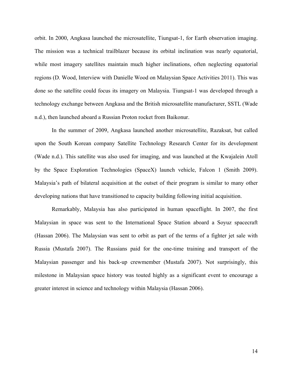orbit. In 2000, Angkasa launched the microsatellite, Tiungsat-1, for Earth observation imaging. The mission was a technical trailblazer because its orbital inclination was nearly equatorial, while most imagery satellites maintain much higher inclinations, often neglecting equatorial regions (D. Wood, Interview with Danielle Wood on Malaysian Space Activities 2011). This was done so the satellite could focus its imagery on Malaysia. Tiungsat-1 was developed through a technology exchange between Angkasa and the British microsatellite manufacturer, SSTL (Wade n.d.), then launched aboard a Russian Proton rocket from Baikonur.

In the summer of 2009, Angkasa launched another microsatellite, Razaksat, but called upon the South Korean company Satellite Technology Research Center for its development (Wade n.d.). This satellite was also used for imaging, and was launched at the Kwajalein Atoll by the Space Exploration Technologies (SpaceX) launch vehicle, Falcon 1 (Smith 2009). Malaysia's path of bilateral acquisition at the outset of their program is similar to many other developing nations that have transitioned to capacity building following initial acquisition.

Remarkably, Malaysia has also participated in human spaceflight. In 2007, the first Malaysian in space was sent to the International Space Station aboard a Soyuz spacecraft (Hassan 2006). The Malaysian was sent to orbit as part of the terms of a fighter jet sale with Russia (Mustafa 2007). The Russians paid for the one-time training and transport of the Malaysian passenger and his back-up crewmember (Mustafa 2007). Not surprisingly, this milestone in Malaysian space history was touted highly as a significant event to encourage a greater interest in science and technology within Malaysia (Hassan 2006).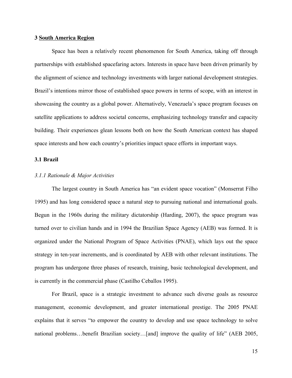# **3 South America Region**

Space has been a relatively recent phenomenon for South America, taking off through partnerships with established spacefaring actors. Interests in space have been driven primarily by the alignment of science and technology investments with larger national development strategies. Brazil's intentions mirror those of established space powers in terms of scope, with an interest in showcasing the country as a global power. Alternatively, Venezuela's space program focuses on satellite applications to address societal concerns, emphasizing technology transfer and capacity building. Their experiences glean lessons both on how the South American context has shaped space interests and how each country's priorities impact space efforts in important ways.

#### **3.1 Brazil**

# *3.1.1 Rationale & Major Activities*

The largest country in South America has "an evident space vocation" (Monserrat Filho 1995) and has long considered space a natural step to pursuing national and international goals. Begun in the 1960s during the military dictatorship (Harding, 2007), the space program was turned over to civilian hands and in 1994 the Brazilian Space Agency (AEB) was formed. It is organized under the National Program of Space Activities (PNAE), which lays out the space strategy in ten-year increments, and is coordinated by AEB with other relevant institutions. The program has undergone three phases of research, training, basic technological development, and is currently in the commercial phase (Castilho Ceballos 1995).

For Brazil, space is a strategic investment to advance such diverse goals as resource management, economic development, and greater international prestige. The 2005 PNAE explains that it serves "to empower the country to develop and use space technology to solve national problems…benefit Brazilian society…[and] improve the quality of life" (AEB 2005,

15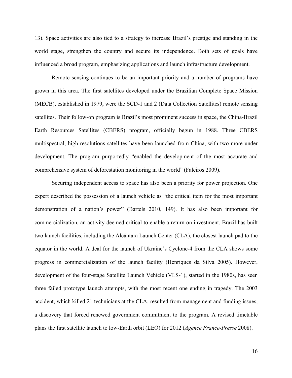13). Space activities are also tied to a strategy to increase Brazil's prestige and standing in the world stage, strengthen the country and secure its independence. Both sets of goals have influenced a broad program, emphasizing applications and launch infrastructure development.

Remote sensing continues to be an important priority and a number of programs have grown in this area. The first satellites developed under the Brazilian Complete Space Mission (MECB), established in 1979, were the SCD-1 and 2 (Data Collection Satellites) remote sensing satellites. Their follow-on program is Brazil's most prominent success in space, the China-Brazil Earth Resources Satellites (CBERS) program, officially begun in 1988. Three CBERS multispectral, high-resolutions satellites have been launched from China, with two more under development. The program purportedly "enabled the development of the most accurate and comprehensive system of deforestation monitoring in the world" (Faleiros 2009).

Securing independent access to space has also been a priority for power projection. One expert described the possession of a launch vehicle as "the critical item for the most important demonstration of a nation's power" (Bartels 2010, 149). It has also been important for commercialization, an activity deemed critical to enable a return on investment. Brazil has built two launch facilities, including the Alcântara Launch Center (CLA), the closest launch pad to the equator in the world. A deal for the launch of Ukraine's Cyclone-4 from the CLA shows some progress in commercialization of the launch facility (Henriques da Silva 2005). However, development of the four-stage Satellite Launch Vehicle (VLS-1), started in the 1980s, has seen three failed prototype launch attempts, with the most recent one ending in tragedy. The 2003 accident, which killed 21 technicians at the CLA, resulted from management and funding issues, a discovery that forced renewed government commitment to the program. A revised timetable plans the first satellite launch to low-Earth orbit (LEO) for 2012 (*Agence France-Presse* 2008).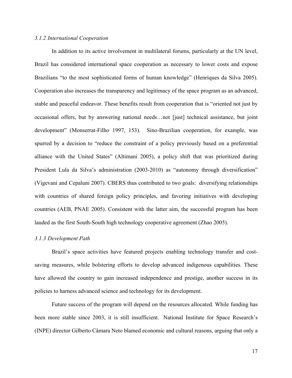# *3.1.2 International Cooperation*

In addition to its active involvement in multilateral forums, particularly at the UN level, Brazil has considered international space cooperation as necessary to lower costs and expose Brazilians "to the most sophisticated forms of human knowledge" (Henriques da Silva 2005). Cooperation also increases the transparency and legitimacy of the space program as an advanced, stable and peaceful endeavor. These benefits result from cooperation that is "oriented not just by occasional offers, but by answering national needs…not [just] technical assistance, but joint development" (Monserrat-Filho 1997, 153). Sino-Brazilian cooperation, for example, was spurred by a decision to "reduce the constraint of a policy previously based on a preferential alliance with the United States" (Altimani 2005), a policy shift that was prioritized during President Lula da Silva's administration (2003-2010) as "autonomy through diversification" (Vigevani and Cepaluni 2007). CBERS thus contributed to two goals: diversifying relationships with countries of shared foreign policy principles, and favoring initiatives with developing countries (AEB, PNAE 2005). Consistent with the latter aim, the successful program has been lauded as the first South-South high technology cooperative agreement (Zhao 2005).

#### *3.1.3 Development Path*

Brazil's space activities have featured projects enabling technology transfer and costsaving measures, while bolstering efforts to develop advanced indigenous capabilities. These have allowed the country to gain increased independence and prestige, another success in its policies to harness advanced science and technology for its development.

Future success of the program will depend on the resources allocated. While funding has been more stable since 2003, it is still insufficient. National Institute for Space Research's (INPE) director Gilberto Câmara Neto blamed economic and cultural reasons, arguing that only a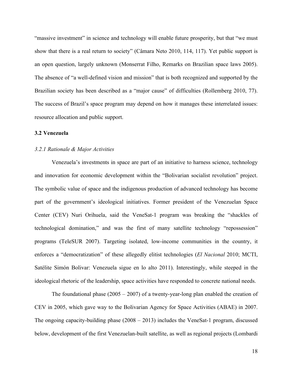"massive investment" in science and technology will enable future prosperity, but that "we must show that there is a real return to society" (Câmara Neto 2010, 114, 117). Yet public support is an open question, largely unknown (Monserrat Filho, Remarks on Brazilian space laws 2005). The absence of "a well-defined vision and mission" that is both recognized and supported by the Brazilian society has been described as a "major cause" of difficulties (Rollemberg 2010, 77). The success of Brazil's space program may depend on how it manages these interrelated issues: resource allocation and public support.

#### **3.2 Venezuela**

#### *3.2.1 Rationale & Major Activities*

Venezuela's investments in space are part of an initiative to harness science, technology and innovation for economic development within the "Bolivarian socialist revolution" project. The symbolic value of space and the indigenous production of advanced technology has become part of the government's ideological initiatives. Former president of the Venezuelan Space Center (CEV) Nuri Orihuela, said the VeneSat-1 program was breaking the "shackles of technological domination," and was the first of many satellite technology "repossession" programs (TeleSUR 2007). Targeting isolated, low-income communities in the country, it enforces a "democratization" of these allegedly elitist technologies (*El Nacional* 2010; MCTI, Satélite Simón Bolivar: Venezuela sigue en lo alto 2011). Interestingly, while steeped in the ideological rhetoric of the leadership, space activities have responded to concrete national needs.

The foundational phase  $(2005 - 2007)$  of a twenty-year-long plan enabled the creation of CEV in 2005, which gave way to the Bolivarian Agency for Space Activities (ABAE) in 2007. The ongoing capacity-building phase (2008 – 2013) includes the VeneSat-1 program, discussed below, development of the first Venezuelan-built satellite, as well as regional projects (Lombardi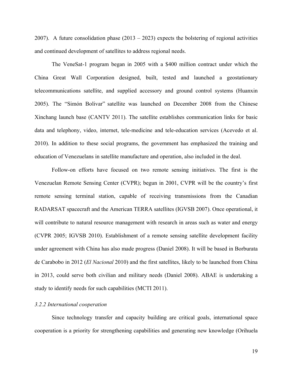2007). A future consolidation phase  $(2013 - 2023)$  expects the bolstering of regional activities and continued development of satellites to address regional needs.

The VeneSat-1 program began in 2005 with a \$400 million contract under which the China Great Wall Corporation designed, built, tested and launched a geostationary telecommunications satellite, and supplied accessory and ground control systems (Huanxin 2005). The "Simón Bolivar" satellite was launched on December 2008 from the Chinese Xinchang launch base (CANTV 2011). The satellite establishes communication links for basic data and telephony, video, internet, tele-medicine and tele-education services (Acevedo et al. 2010). In addition to these social programs, the government has emphasized the training and education of Venezuelans in satellite manufacture and operation, also included in the deal.

Follow-on efforts have focused on two remote sensing initiatives. The first is the Venezuelan Remote Sensing Center (CVPR); begun in 2001, CVPR will be the country's first remote sensing terminal station, capable of receiving transmissions from the Canadian RADARSAT spacecraft and the American TERRA satellites (IGVSB 2007). Once operational, it will contribute to natural resource management with research in areas such as water and energy (CVPR 2005; IGVSB 2010). Establishment of a remote sensing satellite development facility under agreement with China has also made progress (Daniel 2008). It will be based in Borburata de Carabobo in 2012 (*El Nacional* 2010) and the first satellites, likely to be launched from China in 2013, could serve both civilian and military needs (Daniel 2008). ABAE is undertaking a study to identify needs for such capabilities (MCTI 2011).

# *3.2.2 International cooperation*

Since technology transfer and capacity building are critical goals, international space cooperation is a priority for strengthening capabilities and generating new knowledge (Orihuela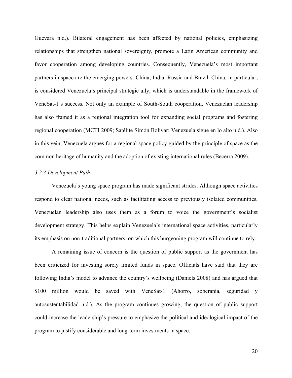Guevara n.d.). Bilateral engagement has been affected by national policies, emphasizing relationships that strengthen national sovereignty, promote a Latin American community and favor cooperation among developing countries. Consequently, Venezuela's most important partners in space are the emerging powers: China, India, Russia and Brazil. China, in particular, is considered Venezuela's principal strategic ally, which is understandable in the framework of VeneSat-1's success. Not only an example of South-South cooperation, Venezuelan leadership has also framed it as a regional integration tool for expanding social programs and fostering regional cooperation (MCTI 2009; Satélite Simón Bolívar: Venezuela sigue en lo alto n.d.). Also in this vein, Venezuela argues for a regional space policy guided by the principle of space as the common heritage of humanity and the adoption of existing international rules (Becerra 2009).

# *3.2.3 Development Path*

Venezuela's young space program has made significant strides. Although space activities respond to clear national needs, such as facilitating access to previously isolated communities, Venezuelan leadership also uses them as a forum to voice the government's socialist development strategy. This helps explain Venezuela's international space activities, particularly its emphasis on non-traditional partners, on which this burgeoning program will continue to rely.

A remaining issue of concern is the question of public support as the government has been criticized for investing sorely limited funds in space. Officials have said that they are following India's model to advance the country's wellbeing (Daniels 2008) and has argued that \$100 million would be saved with VeneSat-1 (Ahorro, soberanía, seguridad y autosustentabilidad n.d.). As the program continues growing, the question of public support could increase the leadership's pressure to emphasize the political and ideological impact of the program to justify considerable and long-term investments in space.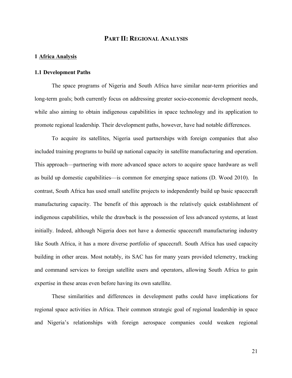# **PART II: REGIONAL ANALYSIS**

# **1 Africa Analysis**

#### **1.1 Development Paths**

The space programs of Nigeria and South Africa have similar near-term priorities and long-term goals; both currently focus on addressing greater socio-economic development needs, while also aiming to obtain indigenous capabilities in space technology and its application to promote regional leadership. Their development paths, however, have had notable differences.

To acquire its satellites, Nigeria used partnerships with foreign companies that also included training programs to build up national capacity in satellite manufacturing and operation. This approach—partnering with more advanced space actors to acquire space hardware as well as build up domestic capabilities—is common for emerging space nations (D. Wood 2010). In contrast, South Africa has used small satellite projects to independently build up basic spacecraft manufacturing capacity. The benefit of this approach is the relatively quick establishment of indigenous capabilities, while the drawback is the possession of less advanced systems, at least initially. Indeed, although Nigeria does not have a domestic spacecraft manufacturing industry like South Africa, it has a more diverse portfolio of spacecraft. South Africa has used capacity building in other areas. Most notably, its SAC has for many years provided telemetry, tracking and command services to foreign satellite users and operators, allowing South Africa to gain expertise in these areas even before having its own satellite.

These similarities and differences in development paths could have implications for regional space activities in Africa. Their common strategic goal of regional leadership in space and Nigeria's relationships with foreign aerospace companies could weaken regional

21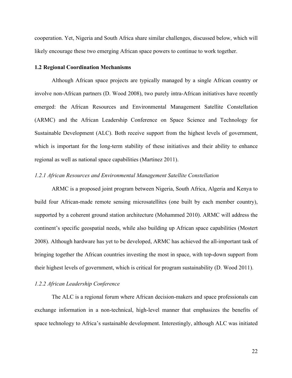cooperation. Yet, Nigeria and South Africa share similar challenges, discussed below, which will likely encourage these two emerging African space powers to continue to work together.

#### **1.2 Regional Coordination Mechanisms**

Although African space projects are typically managed by a single African country or involve non-African partners (D. Wood 2008), two purely intra-African initiatives have recently emerged: the African Resources and Environmental Management Satellite Constellation (ARMC) and the African Leadership Conference on Space Science and Technology for Sustainable Development (ALC). Both receive support from the highest levels of government, which is important for the long-term stability of these initiatives and their ability to enhance regional as well as national space capabilities (Martinez 2011).

# *1.2.1 African Resources and Environmental Management Satellite Constellation*

ARMC is a proposed joint program between Nigeria, South Africa, Algeria and Kenya to build four African-made remote sensing microsatellites (one built by each member country), supported by a coherent ground station architecture (Mohammed 2010). ARMC will address the continent's specific geospatial needs, while also building up African space capabilities (Mostert 2008). Although hardware has yet to be developed, ARMC has achieved the all-important task of bringing together the African countries investing the most in space, with top-down support from their highest levels of government, which is critical for program sustainability (D. Wood 2011).

# *1.2.2 African Leadership Conference*

The ALC is a regional forum where African decision-makers and space professionals can exchange information in a non-technical, high-level manner that emphasizes the benefits of space technology to Africa's sustainable development. Interestingly, although ALC was initiated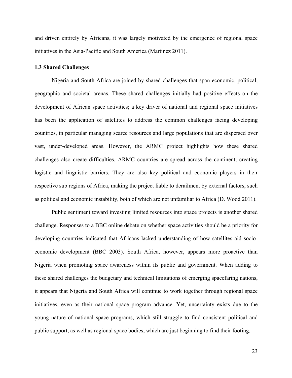and driven entirely by Africans, it was largely motivated by the emergence of regional space initiatives in the Asia-Pacific and South America (Martinez 2011).

#### **1.3 Shared Challenges**

Nigeria and South Africa are joined by shared challenges that span economic, political, geographic and societal arenas. These shared challenges initially had positive effects on the development of African space activities; a key driver of national and regional space initiatives has been the application of satellites to address the common challenges facing developing countries, in particular managing scarce resources and large populations that are dispersed over vast, under-developed areas. However, the ARMC project highlights how these shared challenges also create difficulties. ARMC countries are spread across the continent, creating logistic and linguistic barriers. They are also key political and economic players in their respective sub regions of Africa, making the project liable to derailment by external factors, such as political and economic instability, both of which are not unfamiliar to Africa (D. Wood 2011).

Public sentiment toward investing limited resources into space projects is another shared challenge. Responses to a BBC online debate on whether space activities should be a priority for developing countries indicated that Africans lacked understanding of how satellites aid socioeconomic development (BBC 2003). South Africa, however, appears more proactive than Nigeria when promoting space awareness within its public and government. When adding to these shared challenges the budgetary and technical limitations of emerging spacefaring nations, it appears that Nigeria and South Africa will continue to work together through regional space initiatives, even as their national space program advance. Yet, uncertainty exists due to the young nature of national space programs, which still struggle to find consistent political and public support, as well as regional space bodies, which are just beginning to find their footing.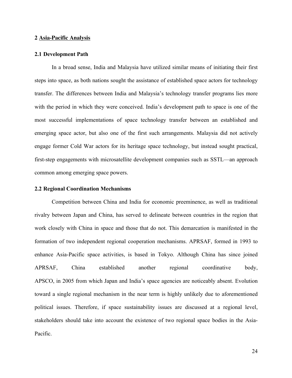#### **2 Asia-Pacific Analysis**

#### **2.1 Development Path**

In a broad sense, India and Malaysia have utilized similar means of initiating their first steps into space, as both nations sought the assistance of established space actors for technology transfer. The differences between India and Malaysia's technology transfer programs lies more with the period in which they were conceived. India's development path to space is one of the most successful implementations of space technology transfer between an established and emerging space actor, but also one of the first such arrangements. Malaysia did not actively engage former Cold War actors for its heritage space technology, but instead sought practical, first-step engagements with microsatellite development companies such as SSTL—an approach common among emerging space powers.

#### **2.2 Regional Coordination Mechanisms**

Competition between China and India for economic preeminence, as well as traditional rivalry between Japan and China, has served to delineate between countries in the region that work closely with China in space and those that do not. This demarcation is manifested in the formation of two independent regional cooperation mechanisms. APRSAF, formed in 1993 to enhance Asia-Pacific space activities, is based in Tokyo. Although China has since joined APRSAF, China established another regional coordinative body, APSCO, in 2005 from which Japan and India's space agencies are noticeably absent. Evolution toward a single regional mechanism in the near term is highly unlikely due to aforementioned political issues. Therefore, if space sustainability issues are discussed at a regional level, stakeholders should take into account the existence of two regional space bodies in the Asia-Pacific.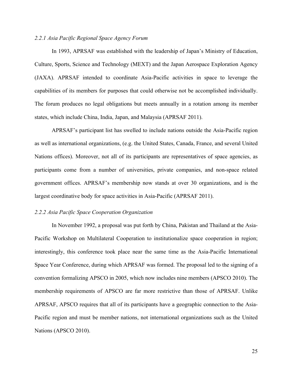# *2.2.1 Asia Pacific Regional Space Agency Forum*

In 1993, APRSAF was established with the leadership of Japan's Ministry of Education, Culture, Sports, Science and Technology (MEXT) and the Japan Aerospace Exploration Agency (JAXA). APRSAF intended to coordinate Asia-Pacific activities in space to leverage the capabilities of its members for purposes that could otherwise not be accomplished individually. The forum produces no legal obligations but meets annually in a rotation among its member states, which include China, India, Japan, and Malaysia (APRSAF 2011).

APRSAF's participant list has swelled to include nations outside the Asia-Pacific region as well as international organizations, (e.g. the United States, Canada, France, and several United Nations offices). Moreover, not all of its participants are representatives of space agencies, as participants come from a number of universities, private companies, and non-space related government offices. APRSAF's membership now stands at over 30 organizations, and is the largest coordinative body for space activities in Asia-Pacific (APRSAF 2011).

#### *2.2.2 Asia Pacific Space Cooperation Organization*

In November 1992, a proposal was put forth by China, Pakistan and Thailand at the Asia-Pacific Workshop on Multilateral Cooperation to institutionalize space cooperation in region; interestingly, this conference took place near the same time as the Asia-Pacific International Space Year Conference, during which APRSAF was formed. The proposal led to the signing of a convention formalizing APSCO in 2005, which now includes nine members (APSCO 2010). The membership requirements of APSCO are far more restrictive than those of APRSAF. Unlike APRSAF, APSCO requires that all of its participants have a geographic connection to the Asia-Pacific region and must be member nations, not international organizations such as the United Nations (APSCO 2010).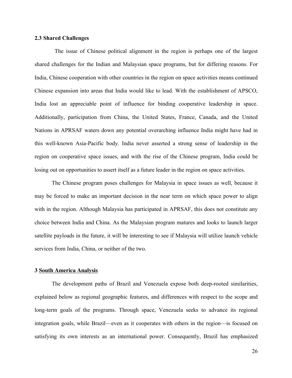## **2.3 Shared Challenges**

 The issue of Chinese political alignment in the region is perhaps one of the largest shared challenges for the Indian and Malaysian space programs, but for differing reasons. For India, Chinese cooperation with other countries in the region on space activities means continued Chinese expansion into areas that India would like to lead. With the establishment of APSCO, India lost an appreciable point of influence for binding cooperative leadership in space. Additionally, participation from China, the United States, France, Canada, and the United Nations in APRSAF waters down any potential overarching influence India might have had in this well-known Asia-Pacific body. India never asserted a strong sense of leadership in the region on cooperative space issues, and with the rise of the Chinese program, India could be losing out on opportunities to assert itself as a future leader in the region on space activities.

The Chinese program poses challenges for Malaysia in space issues as well, because it may be forced to make an important decision in the near term on which space power to align with in the region. Although Malaysia has participated in APRSAF, this does not constitute any choice between India and China. As the Malaysian program matures and looks to launch larger satellite payloads in the future, it will be interesting to see if Malaysia will utilize launch vehicle services from India, China, or neither of the two.

#### **3 South America Analysis**

The development paths of Brazil and Venezuela expose both deep-rooted similarities, explained below as regional geographic features, and differences with respect to the scope and long-term goals of the programs. Through space, Venezuela seeks to advance its regional integration goals, while Brazil—even as it cooperates with others in the region—is focused on satisfying its own interests as an international power. Consequently, Brazil has emphasized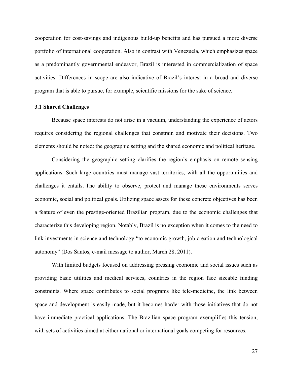cooperation for cost-savings and indigenous build-up benefits and has pursued a more diverse portfolio of international cooperation. Also in contrast with Venezuela, which emphasizes space as a predominantly governmental endeavor, Brazil is interested in commercialization of space activities. Differences in scope are also indicative of Brazil's interest in a broad and diverse program that is able to pursue, for example, scientific missions for the sake of science.

#### **3.1 Shared Challenges**

Because space interests do not arise in a vacuum, understanding the experience of actors requires considering the regional challenges that constrain and motivate their decisions. Two elements should be noted: the geographic setting and the shared economic and political heritage.

Considering the geographic setting clarifies the region's emphasis on remote sensing applications. Such large countries must manage vast territories, with all the opportunities and challenges it entails. The ability to observe, protect and manage these environments serves economic, social and political goals. Utilizing space assets for these concrete objectives has been a feature of even the prestige-oriented Brazilian program, due to the economic challenges that characterize this developing region. Notably, Brazil is no exception when it comes to the need to link investments in science and technology "to economic growth, job creation and technological autonomy" (Dos Santos, e-mail message to author, March 28, 2011).

With limited budgets focused on addressing pressing economic and social issues such as providing basic utilities and medical services, countries in the region face sizeable funding constraints. Where space contributes to social programs like tele-medicine, the link between space and development is easily made, but it becomes harder with those initiatives that do not have immediate practical applications. The Brazilian space program exemplifies this tension, with sets of activities aimed at either national or international goals competing for resources.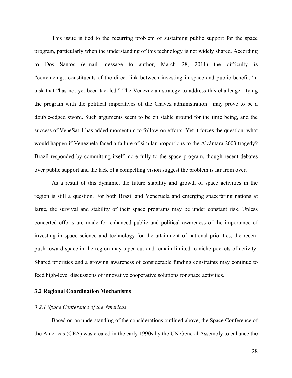This issue is tied to the recurring problem of sustaining public support for the space program, particularly when the understanding of this technology is not widely shared. According to Dos Santos (e-mail message to author, March 28, 2011) the difficulty is "convincing…constituents of the direct link between investing in space and public benefit," a task that "has not yet been tackled." The Venezuelan strategy to address this challenge—tying the program with the political imperatives of the Chavez administration—may prove to be a double-edged sword. Such arguments seem to be on stable ground for the time being, and the success of VeneSat-1 has added momentum to follow-on efforts. Yet it forces the question: what would happen if Venezuela faced a failure of similar proportions to the Alcântara 2003 tragedy? Brazil responded by committing itself more fully to the space program, though recent debates over public support and the lack of a compelling vision suggest the problem is far from over.

As a result of this dynamic, the future stability and growth of space activities in the region is still a question. For both Brazil and Venezuela and emerging spacefaring nations at large, the survival and stability of their space programs may be under constant risk. Unless concerted efforts are made for enhanced public and political awareness of the importance of investing in space science and technology for the attainment of national priorities, the recent push toward space in the region may taper out and remain limited to niche pockets of activity. Shared priorities and a growing awareness of considerable funding constraints may continue to feed high-level discussions of innovative cooperative solutions for space activities.

# **3.2 Regional Coordination Mechanisms**

# *3.2.1 Space Conference of the Americas*

Based on an understanding of the considerations outlined above, the Space Conference of the Americas (CEA) was created in the early 1990s by the UN General Assembly to enhance the

28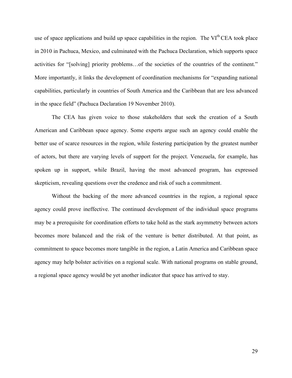use of space applications and build up space capabilities in the region. The  $VI<sup>th</sup>CEA$  took place in 2010 in Pachuca, Mexico, and culminated with the Pachuca Declaration, which supports space activities for "[solving] priority problems…of the societies of the countries of the continent." More importantly, it links the development of coordination mechanisms for "expanding national capabilities, particularly in countries of South America and the Caribbean that are less advanced in the space field" (Pachuca Declaration 19 November 2010).

The CEA has given voice to those stakeholders that seek the creation of a South American and Caribbean space agency. Some experts argue such an agency could enable the better use of scarce resources in the region, while fostering participation by the greatest number of actors, but there are varying levels of support for the project. Venezuela, for example, has spoken up in support, while Brazil, having the most advanced program, has expressed skepticism, revealing questions over the credence and risk of such a commitment.

Without the backing of the more advanced countries in the region, a regional space agency could prove ineffective. The continued development of the individual space programs may be a prerequisite for coordination efforts to take hold as the stark asymmetry between actors becomes more balanced and the risk of the venture is better distributed. At that point, as commitment to space becomes more tangible in the region, a Latin America and Caribbean space agency may help bolster activities on a regional scale. With national programs on stable ground, a regional space agency would be yet another indicator that space has arrived to stay.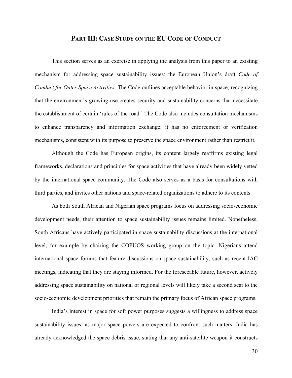# **PART III: CASE STUDY ON THE EU CODE OF CONDUCT**

This section serves as an exercise in applying the analysis from this paper to an existing mechanism for addressing space sustainability issues: the European Union's draft *Code of Conduct for Outer Space Activities*. The Code outlines acceptable behavior in space, recognizing that the environment's growing use creates security and sustainability concerns that necessitate the establishment of certain 'rules of the road.' The Code also includes consultation mechanisms to enhance transparency and information exchange; it has no enforcement or verification mechanisms, consistent with its purpose to preserve the space environment rather than restrict it.

Although the Code has European origins, its content largely reaffirms existing legal frameworks, declarations and principles for space activities that have already been widely vetted by the international space community. The Code also serves as a basis for consultations with third parties, and invites other nations and space-related organizations to adhere to its contents.

As both South African and Nigerian space programs focus on addressing socio-economic development needs, their attention to space sustainability issues remains limited. Nonetheless, South Africans have actively participated in space sustainability discussions at the international level, for example by chairing the COPUOS working group on the topic. Nigerians attend international space forums that feature discussions on space sustainability, such as recent IAC meetings, indicating that they are staying informed. For the foreseeable future, however, actively addressing space sustainability on national or regional levels will likely take a second seat to the socio-economic development priorities that remain the primary focus of African space programs.

India's interest in space for soft power purposes suggests a willingness to address space sustainability issues, as major space powers are expected to confront such matters. India has already acknowledged the space debris issue, stating that any anti-satellite weapon it constructs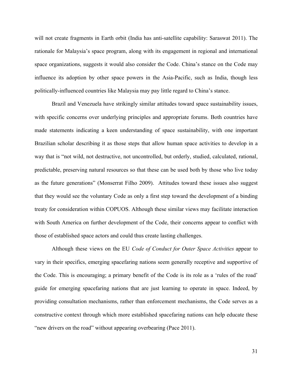will not create fragments in Earth orbit (India has anti-satellite capability: Saraswat 2011). The rationale for Malaysia's space program, along with its engagement in regional and international space organizations, suggests it would also consider the Code. China's stance on the Code may influence its adoption by other space powers in the Asia-Pacific, such as India, though less politically-influenced countries like Malaysia may pay little regard to China's stance.

Brazil and Venezuela have strikingly similar attitudes toward space sustainability issues, with specific concerns over underlying principles and appropriate forums. Both countries have made statements indicating a keen understanding of space sustainability, with one important Brazilian scholar describing it as those steps that allow human space activities to develop in a way that is "not wild, not destructive, not uncontrolled, but orderly, studied, calculated, rational, predictable, preserving natural resources so that these can be used both by those who live today as the future generations" (Monserrat Filho 2009). Attitudes toward these issues also suggest that they would see the voluntary Code as only a first step toward the development of a binding treaty for consideration within COPUOS. Although these similar views may facilitate interaction with South America on further development of the Code, their concerns appear to conflict with those of established space actors and could thus create lasting challenges.

Although these views on the EU *Code of Conduct for Outer Space Activities* appear to vary in their specifics, emerging spacefaring nations seem generally receptive and supportive of the Code. This is encouraging; a primary benefit of the Code is its role as a 'rules of the road' guide for emerging spacefaring nations that are just learning to operate in space. Indeed, by providing consultation mechanisms, rather than enforcement mechanisms, the Code serves as a constructive context through which more established spacefaring nations can help educate these "new drivers on the road" without appearing overbearing (Pace 2011).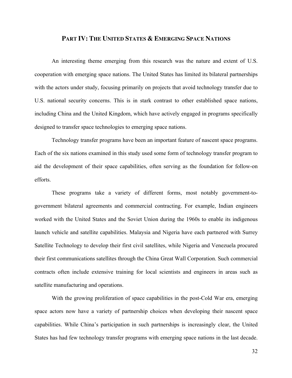## **PART IV: THE UNITED STATES & EMERGING SPACE NATIONS**

An interesting theme emerging from this research was the nature and extent of U.S. cooperation with emerging space nations. The United States has limited its bilateral partnerships with the actors under study, focusing primarily on projects that avoid technology transfer due to U.S. national security concerns. This is in stark contrast to other established space nations, including China and the United Kingdom, which have actively engaged in programs specifically designed to transfer space technologies to emerging space nations.

Technology transfer programs have been an important feature of nascent space programs. Each of the six nations examined in this study used some form of technology transfer program to aid the development of their space capabilities, often serving as the foundation for follow-on efforts.

These programs take a variety of different forms, most notably government-togovernment bilateral agreements and commercial contracting. For example, Indian engineers worked with the United States and the Soviet Union during the 1960s to enable its indigenous launch vehicle and satellite capabilities. Malaysia and Nigeria have each partnered with Surrey Satellite Technology to develop their first civil satellites, while Nigeria and Venezuela procured their first communications satellites through the China Great Wall Corporation. Such commercial contracts often include extensive training for local scientists and engineers in areas such as satellite manufacturing and operations.

With the growing proliferation of space capabilities in the post-Cold War era, emerging space actors now have a variety of partnership choices when developing their nascent space capabilities. While China's participation in such partnerships is increasingly clear, the United States has had few technology transfer programs with emerging space nations in the last decade.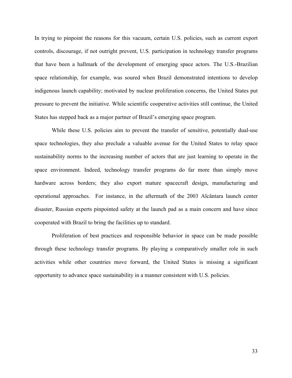In trying to pinpoint the reasons for this vacuum, certain U.S. policies, such as current export controls, discourage, if not outright prevent, U.S. participation in technology transfer programs that have been a hallmark of the development of emerging space actors. The U.S.-Brazilian space relationship, for example, was soured when Brazil demonstrated intentions to develop indigenous launch capability; motivated by nuclear proliferation concerns, the United States put pressure to prevent the initiative. While scientific cooperative activities still continue, the United States has stepped back as a major partner of Brazil's emerging space program.

While these U.S. policies aim to prevent the transfer of sensitive, potentially dual-use space technologies, they also preclude a valuable avenue for the United States to relay space sustainability norms to the increasing number of actors that are just learning to operate in the space environment. Indeed, technology transfer programs do far more than simply move hardware across borders; they also export mature spacecraft design, manufacturing and operational approaches. For instance, in the aftermath of the 2003 Alcântara launch center disaster, Russian experts pinpointed safety at the launch pad as a main concern and have since cooperated with Brazil to bring the facilities up to standard.

Proliferation of best practices and responsible behavior in space can be made possible through these technology transfer programs. By playing a comparatively smaller role in such activities while other countries move forward, the United States is missing a significant opportunity to advance space sustainability in a manner consistent with U.S. policies.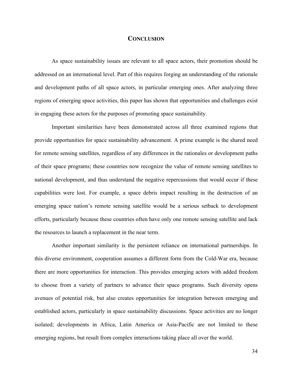# **CONCLUSION**

As space sustainability issues are relevant to all space actors, their promotion should be addressed on an international level. Part of this requires forging an understanding of the rationale and development paths of all space actors, in particular emerging ones. After analyzing three regions of emerging space activities, this paper has shown that opportunities and challenges exist in engaging these actors for the purposes of promoting space sustainability.

Important similarities have been demonstrated across all three examined regions that provide opportunities for space sustainability advancement. A prime example is the shared need for remote sensing satellites, regardless of any differences in the rationales or development paths of their space programs; these countries now recognize the value of remote sensing satellites to national development, and thus understand the negative repercussions that would occur if these capabilities were lost. For example, a space debris impact resulting in the destruction of an emerging space nation's remote sensing satellite would be a serious setback to development efforts, particularly because these countries often have only one remote sensing satellite and lack the resources to launch a replacement in the near term.

Another important similarity is the persistent reliance on international partnerships. In this diverse environment, cooperation assumes a different form from the Cold-War era, because there are more opportunities for interaction. This provides emerging actors with added freedom to choose from a variety of partners to advance their space programs. Such diversity opens avenues of potential risk, but also creates opportunities for integration between emerging and established actors, particularly in space sustainability discussions. Space activities are no longer isolated; developments in Africa, Latin America or Asia-Pacific are not limited to these emerging regions, but result from complex interactions taking place all over the world.

34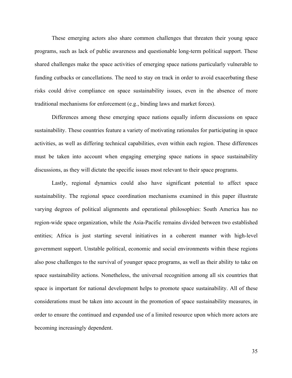These emerging actors also share common challenges that threaten their young space programs, such as lack of public awareness and questionable long-term political support. These shared challenges make the space activities of emerging space nations particularly vulnerable to funding cutbacks or cancellations. The need to stay on track in order to avoid exacerbating these risks could drive compliance on space sustainability issues, even in the absence of more traditional mechanisms for enforcement (e.g., binding laws and market forces).

Differences among these emerging space nations equally inform discussions on space sustainability. These countries feature a variety of motivating rationales for participating in space activities, as well as differing technical capabilities, even within each region. These differences must be taken into account when engaging emerging space nations in space sustainability discussions, as they will dictate the specific issues most relevant to their space programs.

Lastly, regional dynamics could also have significant potential to affect space sustainability. The regional space coordination mechanisms examined in this paper illustrate varying degrees of political alignments and operational philosophies: South America has no region-wide space organization, while the Asia-Pacific remains divided between two established entities; Africa is just starting several initiatives in a coherent manner with high-level government support. Unstable political, economic and social environments within these regions also pose challenges to the survival of younger space programs, as well as their ability to take on space sustainability actions. Nonetheless, the universal recognition among all six countries that space is important for national development helps to promote space sustainability. All of these considerations must be taken into account in the promotion of space sustainability measures, in order to ensure the continued and expanded use of a limited resource upon which more actors are becoming increasingly dependent.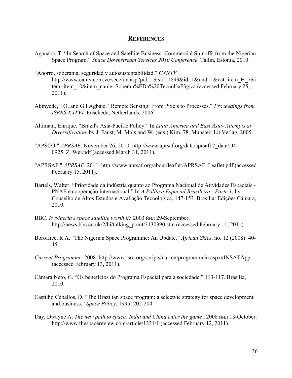# **REFERENCES**

- Aganaba, T. "In Search of Space and Satellite Business: Commercial Spinoffs from the Nigerian Space Program." *Space Downstream Services 2010 Conference.* Tallin, Estonia, 2010.
- "Ahorro, soberanía, seguridad y autosustentabilidad." *CANTV.* http://www.cantv.com.ve/seccion.asp?pid=1&sid=1893&id=1&und=1&cat=item H\_7&i tem=item\_10&item\_name=Soberan%EDa%20Tecnol%F3gica (accessed February 25, 2011).
- Akinyede, J O, and G I Agbaje. "Remote Sensing: From Pixels to Processes." *Proceedings from ISPRS XXXVI.* Enschede, Netherlands, 2006.
- Altimani, Enrique. "Brazil's Asia-Pacific Policy." In *Latin America and East Asia- Attempts at Diversification*, by J. Faust, M. Mols and W. (eds.) Kim, 78. Munster: Lit Verlag, 2005.
- "APSCO." *APRSAF.* November 26, 2010. http://www.aprsaf.org/data/aprsaf17\_data/D4- 0925 Z Wei.pdf (accessed March 31, 2011).
- "APRSAF." *APRSAF.* 2011. http://www.aprsaf.org/about/leaflet/APRSAF\_Leaflet.pdf (accessed February 15, 2011).
- Bartels, Walter. "Prioridade da indústria quanto ao Programa Nacional de Atividades Espaciais PNAE e cooperação internacional." In *A Política Espacial Brasileira - Parte 1*, by Conselho de Altos Estudos e Avaliação Tecnológica, 147-153. Brasília: Edições Câmara, 2010.
- BBC. *Is Nigeria's space satellite worth it?* 2003 йил 29-September. http://news.bbc.co.uk/2/hi/talking\_point/3130390.stm (accessed February 11, 2011).
- Boroffice, R A. "The Nigerian Space Programme: An Update." *African Skies*, no. 12 (2008): 40- 45.
- *Current Programme.* 2008. http://www.isro.org/scripts/currentprogrammein.aspx#INSATApp (accessed February 13, 2011).
- Câmara Neto, G. "Os benefícios do Programa Espacial para a sociedade." 113-117. Brasília, 2010.
- Castilho Ceballos, D. "The Brazilian space program: a selectvie strategy for space development and business." *Space Policy*, 1995: 202-204.
- Day, Dwayne A. *The new path to space: India and China enter the game .* 2008 йил 13-October. http://www.thespacereview.com/article/1231/1 (accessed February 12, 2011).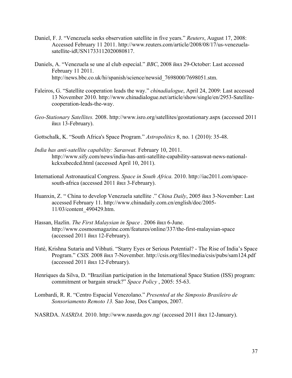- Daniel, F. J. "Venezuela seeks observation satellite in five years." *Reuters*, August 17, 2008: Accessed February 11 2011. http://www.reuters.com/article/2008/08/17/us-venezuelasatellite-idUSN1733112020080817.
- Daniels, A. "Venezuela se une al club especial." *BBC*, 2008 йил 29-October: Last accessed February 11 2011. http://news.bbc.co.uk/hi/spanish/science/newsid\_7698000/7698051.stm.
- Faleiros, G. "Satellite cooperation leads the way." *chinadialogue*, April 24, 2009: Last accessed 13 November 2010. http://www.chinadialogue.net/article/show/single/en/2953-Satellitecooperation-leads-the-way.
- *Geo-Stationary Satellites.* 2008. http://www.isro.org/satellites/geostationary.aspx (accessed 2011 йил 13-February).
- Gottschalk, K. "South Africa's Space Program." *Astropolitics* 8, no. 1 (2010): 35-48.
- *India has anti-satellite capability: Saraswat.* February 10, 2011. http://www.sify.com/news/india-has-anti-satellite-capability-saraswat-news-nationalkckxubecdcd.html (accessed April 10, 2011).
- International Astronautical Congress. *Space in South Africa.* 2010. http://iac2011.com/spacesouth-africa (accessed 2011 йил 3-February).
- Huanxin, Z. " China to develop Venezuela satellite ." *China Daily*, 2005 йил 3-November: Last accessed February 11. http://www.chinadaily.com.cn/english/doc/2005- 11/03/content\_490429.htm.
- Hassan, Hazlin. *The First Malaysian in Space .* 2006 йил 6-June. http://www.cosmosmagazine.com/features/online/337/the-first-malaysian-space (accessed 2011 йил 12-February).
- Haté, Krishna Sutaria and Vibhuti. "Starry Eyes or Serious Potential? The Rise of India's Space Program." *CSIS.* 2008 йил 7-November. http://csis.org/files/media/csis/pubs/sam124.pdf (accessed 2011 йил 12-February).
- Henriques da Silva, D. "Brazilian participation in the International Space Station (ISS) program: commitment or bargain struck?" *Space Policy* , 2005: 55-63.
- Lombardi, R. R. "Centro Espacial Venezolano." *Presented at the Simposio Brasileiro de Sonsoriamento Remoto 13.* Sao Jose, Dos Campos, 2007.

NASRDA. *NASRDA.* 2010. http://www.nasrda.gov.ng/ (accessed 2011 йил 12-January).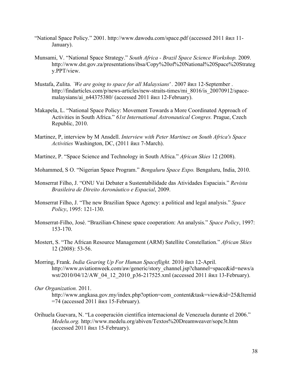- "National Space Policy." 2001. http://www.dawodu.com/space.pdf (accessed 2011 йил 11- January).
- Munsami, V. "National Space Strategy." *South Africa - Brazil Space Science Workshop.* 2009. http://www.dst.gov.za/presentations/ibsa/Copy%20of%20National%20Space%20Strateg y.PPT/view.
- Mustafa, Zulita. *`We are going to space for all Malaysians' .* 2007 йил 12-September . http://findarticles.com/p/news-articles/new-straits-times/mi\_8016/is\_20070912/spacemalaysians/ai\_n44375380/ (accessed 2011 йил 12-February).
- Makapela, L. "National Space Policy: Movement Towards a More Coordinated Approach of Activities in South Africa." *61st International Astronautical Congres.* Prague, Czech Republic, 2010.
- Martinez, P, interview by M Ansdell. *Interview with Peter Martinez on South Africa's Space Activities* Washington, DC, (2011 йил 7-March).
- Martinez, P. "Space Science and Technology in South Africa." *African Skies* 12 (2008).
- Mohammed, S O. "Nigerian Space Program." *Bengaluru Space Expo.* Bengaluru, India, 2010.
- Monserrat Filho, J. "ONU Vai Debater a Sustentabilidade das Atividades Espaciais." *Revista Brasileira de Direito Aeronáutico e Espacial*, 2009.
- Monserrat Filho, J. "The new Brazilian Space Agency: a political and legal analysis." *Space Policy*, 1995: 121-130.
- Monserrat-Filho, José. "Brazilian-Chinese space cooperation: An analysis." *Space Policy*, 1997: 153-170.
- Mostert, S. "The African Resource Management (ARM) Satellite Constellation." *African Skies* 12 (2008): 53-56.
- Morring, Frank. *India Gearing Up For Human Spaceflight.* 2010 йил 12-April. http://www.aviationweek.com/aw/generic/story\_channel.jsp?channel=space&id=news/a wst/2010/04/12/AW\_04\_12\_2010\_p36-217525.xml (accessed 2011 йил 13-February).

Orihuela Guevara, N. "La cooperación científica internacional de Venezuela durante el 2006." *Medelu.org.* http://www.medelu.org/abiven/Textos%20Dreamweaver/sopc3t.htm (accessed 2011 йил 15-February).

*Our Organization.* 2011.

http://www.angkasa.gov.my/index.php?option=com\_content&task=view&id=25&Itemid =74 (accessed 2011 йил 15-February).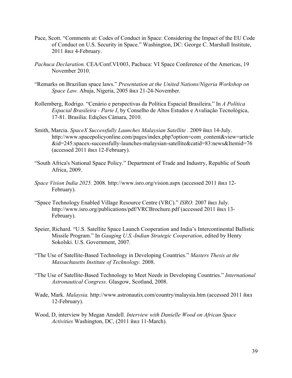- Pace, Scott. "Comments at: Codes of Conduct in Space: Considering the Impact of the EU Code of Conduct on U.S. Security in Space." Washington, DC: George C. Marshall Institute, 2011 йил 4-February.
- *Pachuca Declaration.* CEA/Conf.VI/003, Pachuca: VI Space Conference of the Americas, 19 November 2010.
- "Remarks on Brazilian space laws." *Presentation at the United Nations/Nigeria Workshop on Space Law.* Abuja, Nigeria, 2005 йил 21-24-November.
- Rollemberg, Rodrigo. "Cenário e perspectivas da Política Espacial Brasileira." In *A Política Espacial Brasileira - Parte I*, by Conselho de Altos Estudos e Avaliação Tecnológica, 17-81. Brasília: Edições Câmara, 2010.
- Smith, Marcia. *SpaceX Successfully Launches Malaysian Satellite .* 2009 йил 14-July. http://www.spacepolicyonline.com/pages/index.php?option=com\_content&view=article &id=245:spacex-successfully-launches-malaysian-satellite&catid=83:news&Itemid=76 (accessed 2011 йил 12-February).
- "South Africa's National Space Policy." Department of Trade and Industry, Republic of South Africa, 2009.
- *Space Vision India 2025.* 2008. http://www.isro.org/vision.aspx (accessed 2011 йил 12- February).
- "Space Technology Enabled Village Resource Centre (VRC)." *ISRO.* 2007 йил July. http://www.isro.org/publications/pdf/VRCBrochure.pdf (accessed 2011 йил 13- February).
- Speier, Richard. "U.S. Satellite Space Launch Cooperation and India's Intercontinental Ballistic Missile Program." In *Gauging U.S.-Indian Strategic Cooperation*, edited by Henry Sokolski. U.S. Government, 2007.
- "The Use of Satellite-Based Technology in Developing Countries." *Masters Thesis at the Massachusetts Institute of Technology.* 2008.
- "The Use of Satellite-Based Technology to Meet Needs in Developing Countries." *International Astronautical Congress.* Glasgow, Scotland, 2008.
- Wade, Mark. *Malaysia.* http://www.astronautix.com/country/malaysia.htm (accessed 2011 йил 12-February).
- Wood, D, interview by Megan Ansdell. *Interview with Danielle Wood on African Space Activities* Washington, DC, (2011 йил 11-March).